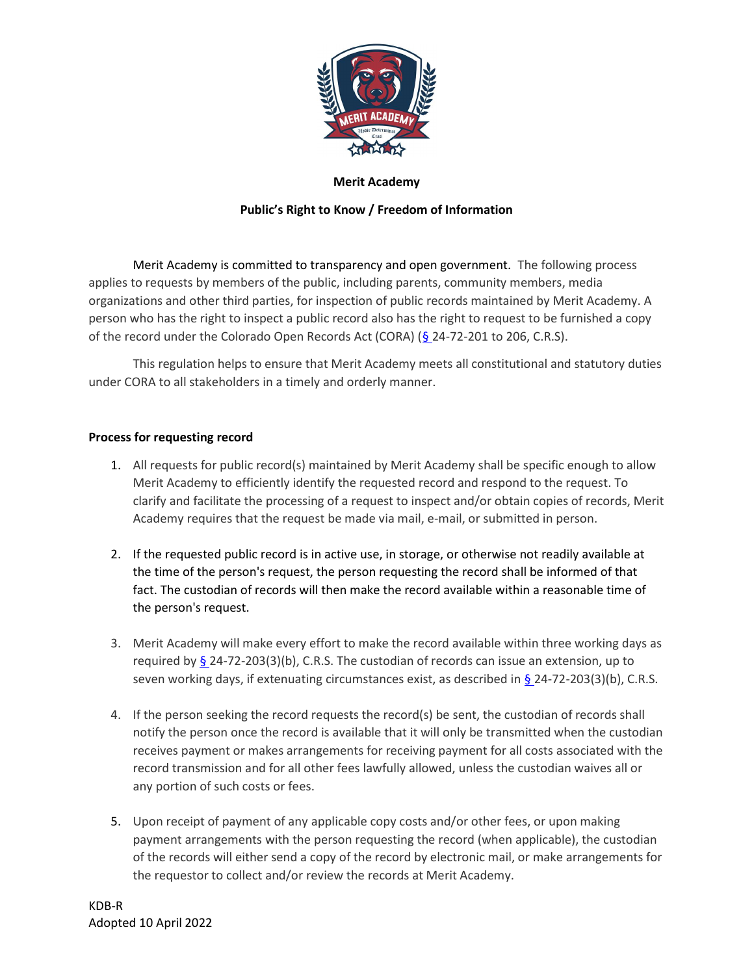

# Public's Right to Know / Freedom of Information

Merit Academy is committed to transparency and open government. The following process applies to requests by members of the public, including parents, community members, media organizations and other third parties, for inspection of public records maintained by Merit Academy. A person who has the right to inspect a public record also has the right to request to be furnished a copy of the record under the Colorado Open Records Act (CORA) (§ 24-72-201 to 206, C.R.S).

This regulation helps to ensure that Merit Academy meets all constitutional and statutory duties under CORA to all stakeholders in a timely and orderly manner.

# Process for requesting record

- 1. All requests for public record(s) maintained by Merit Academy shall be specific enough to allow Merit Academy to efficiently identify the requested record and respond to the request. To clarify and facilitate the processing of a request to inspect and/or obtain copies of records, Merit Academy requires that the request be made via mail, e-mail, or submitted in person.
- 2. If the requested public record is in active use, in storage, or otherwise not readily available at the time of the person's request, the person requesting the record shall be informed of that fact. The custodian of records will then make the record available within a reasonable time of the person's request.
- 3. Merit Academy will make every effort to make the record available within three working days as required by  $\S$  24-72-203(3)(b), C.R.S. The custodian of records can issue an extension, up to seven working days, if extenuating circumstances exist, as described in § 24-72-203(3)(b), C.R.S.
- 4. If the person seeking the record requests the record(s) be sent, the custodian of records shall notify the person once the record is available that it will only be transmitted when the custodian receives payment or makes arrangements for receiving payment for all costs associated with the record transmission and for all other fees lawfully allowed, unless the custodian waives all or any portion of such costs or fees.
- 5. Upon receipt of payment of any applicable copy costs and/or other fees, or upon making payment arrangements with the person requesting the record (when applicable), the custodian of the records will either send a copy of the record by electronic mail, or make arrangements for the requestor to collect and/or review the records at Merit Academy.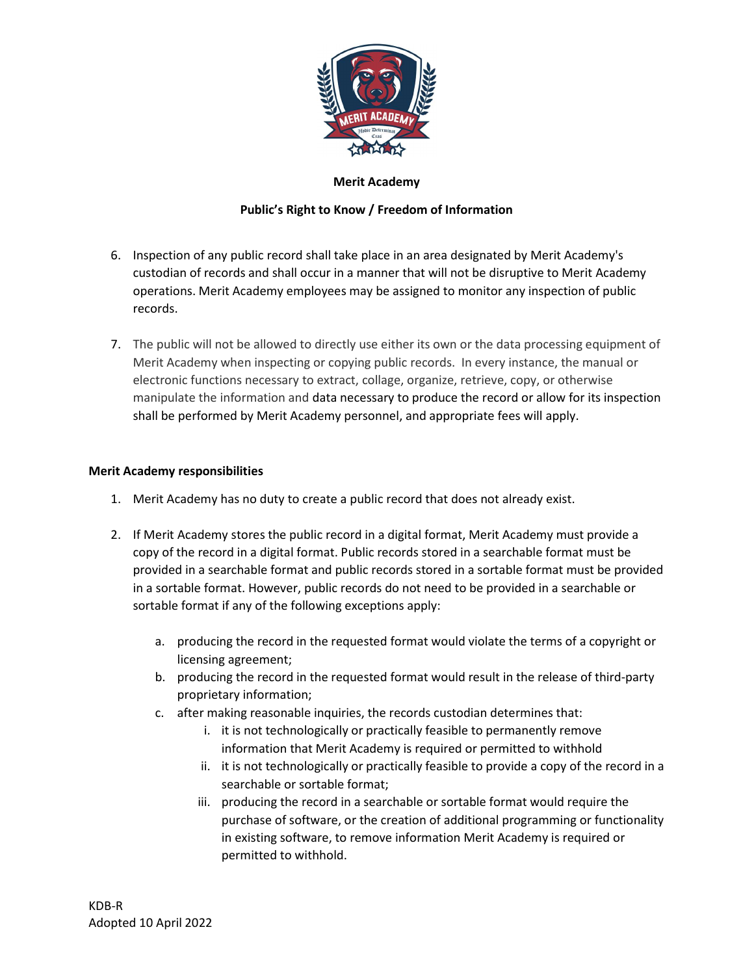

# Public's Right to Know / Freedom of Information

- 6. Inspection of any public record shall take place in an area designated by Merit Academy's custodian of records and shall occur in a manner that will not be disruptive to Merit Academy operations. Merit Academy employees may be assigned to monitor any inspection of public records.
- 7. The public will not be allowed to directly use either its own or the data processing equipment of Merit Academy when inspecting or copying public records. In every instance, the manual or electronic functions necessary to extract, collage, organize, retrieve, copy, or otherwise manipulate the information and data necessary to produce the record or allow for its inspection shall be performed by Merit Academy personnel, and appropriate fees will apply.

# Merit Academy responsibilities

- 1. Merit Academy has no duty to create a public record that does not already exist.
- 2. If Merit Academy stores the public record in a digital format, Merit Academy must provide a copy of the record in a digital format. Public records stored in a searchable format must be provided in a searchable format and public records stored in a sortable format must be provided in a sortable format. However, public records do not need to be provided in a searchable or sortable format if any of the following exceptions apply:
	- a. producing the record in the requested format would violate the terms of a copyright or licensing agreement;
	- b. producing the record in the requested format would result in the release of third-party proprietary information;
	- c. after making reasonable inquiries, the records custodian determines that:
		- i. it is not technologically or practically feasible to permanently remove information that Merit Academy is required or permitted to withhold
		- ii. it is not technologically or practically feasible to provide a copy of the record in a searchable or sortable format;
		- iii. producing the record in a searchable or sortable format would require the purchase of software, or the creation of additional programming or functionality in existing software, to remove information Merit Academy is required or permitted to withhold.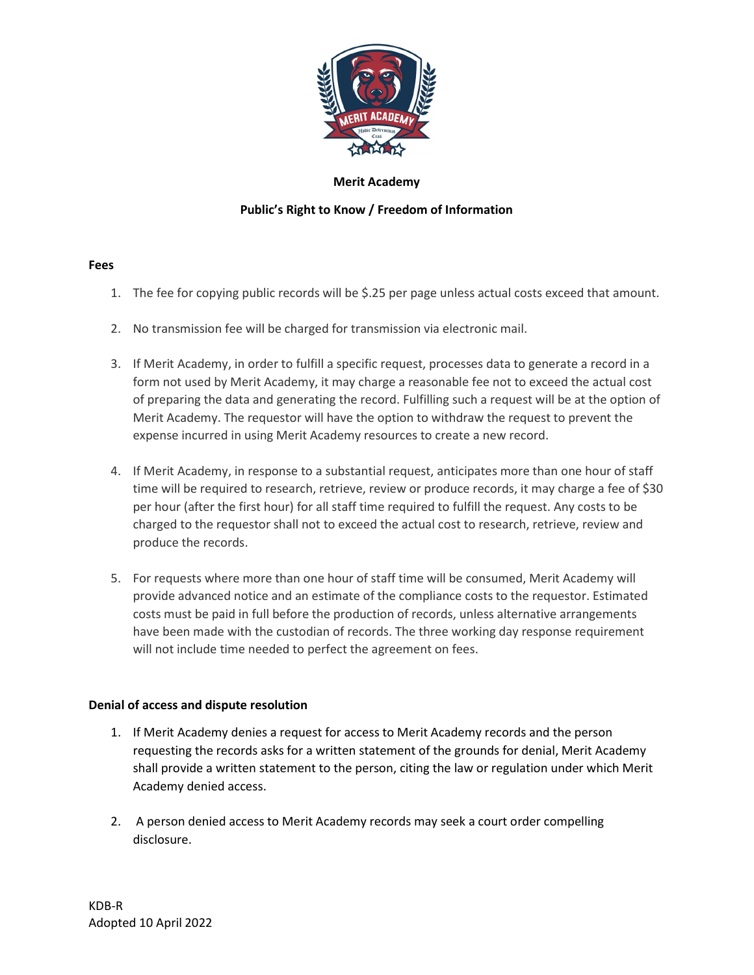

# Public's Right to Know / Freedom of Information

### Fees

- 1. The fee for copying public records will be \$.25 per page unless actual costs exceed that amount.
- 2. No transmission fee will be charged for transmission via electronic mail.
- 3. If Merit Academy, in order to fulfill a specific request, processes data to generate a record in a form not used by Merit Academy, it may charge a reasonable fee not to exceed the actual cost of preparing the data and generating the record. Fulfilling such a request will be at the option of Merit Academy. The requestor will have the option to withdraw the request to prevent the expense incurred in using Merit Academy resources to create a new record.
- 4. If Merit Academy, in response to a substantial request, anticipates more than one hour of staff time will be required to research, retrieve, review or produce records, it may charge a fee of \$30 per hour (after the first hour) for all staff time required to fulfill the request. Any costs to be charged to the requestor shall not to exceed the actual cost to research, retrieve, review and produce the records.
- 5. For requests where more than one hour of staff time will be consumed, Merit Academy will provide advanced notice and an estimate of the compliance costs to the requestor. Estimated costs must be paid in full before the production of records, unless alternative arrangements have been made with the custodian of records. The three working day response requirement will not include time needed to perfect the agreement on fees.

### Denial of access and dispute resolution

- 1. If Merit Academy denies a request for access to Merit Academy records and the person requesting the records asks for a written statement of the grounds for denial, Merit Academy shall provide a written statement to the person, citing the law or regulation under which Merit Academy denied access.
- 2. A person denied access to Merit Academy records may seek a court order compelling disclosure.